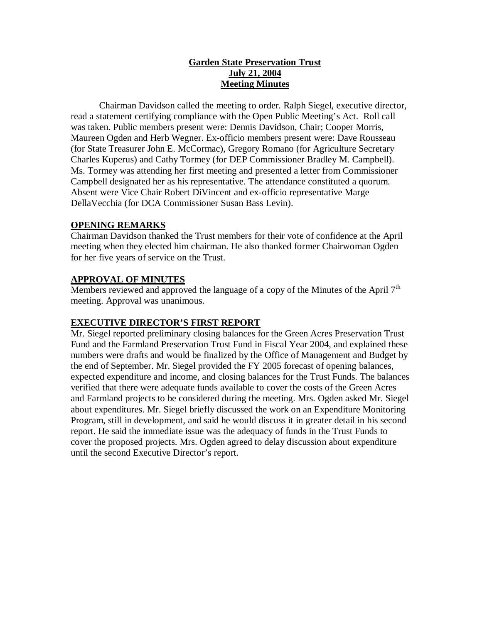# **Garden State Preservation Trust July 21, 2004 Meeting Minutes**

Chairman Davidson called the meeting to order. Ralph Siegel, executive director, read a statement certifying compliance with the Open Public Meeting's Act. Roll call was taken. Public members present were: Dennis Davidson, Chair; Cooper Morris, Maureen Ogden and Herb Wegner. Ex-officio members present were: Dave Rousseau (for State Treasurer John E. McCormac), Gregory Romano (for Agriculture Secretary Charles Kuperus) and Cathy Tormey (for DEP Commissioner Bradley M. Campbell). Ms. Tormey was attending her first meeting and presented a letter from Commissioner Campbell designated her as his representative. The attendance constituted a quorum. Absent were Vice Chair Robert DiVincent and ex-officio representative Marge DellaVecchia (for DCA Commissioner Susan Bass Levin).

### **OPENING REMARKS**

Chairman Davidson thanked the Trust members for their vote of confidence at the April meeting when they elected him chairman. He also thanked former Chairwoman Ogden for her five years of service on the Trust.

# **APPROVAL OF MINUTES**

Members reviewed and approved the language of a copy of the Minutes of the April 7<sup>th</sup> meeting. Approval was unanimous.

# **EXECUTIVE DIRECTOR'S FIRST REPORT**

Mr. Siegel reported preliminary closing balances for the Green Acres Preservation Trust Fund and the Farmland Preservation Trust Fund in Fiscal Year 2004, and explained these numbers were drafts and would be finalized by the Office of Management and Budget by the end of September. Mr. Siegel provided the FY 2005 forecast of opening balances, expected expenditure and income, and closing balances for the Trust Funds. The balances verified that there were adequate funds available to cover the costs of the Green Acres and Farmland projects to be considered during the meeting. Mrs. Ogden asked Mr. Siegel about expenditures. Mr. Siegel briefly discussed the work on an Expenditure Monitoring Program, still in development, and said he would discuss it in greater detail in his second report. He said the immediate issue was the adequacy of funds in the Trust Funds to cover the proposed projects. Mrs. Ogden agreed to delay discussion about expenditure until the second Executive Director's report.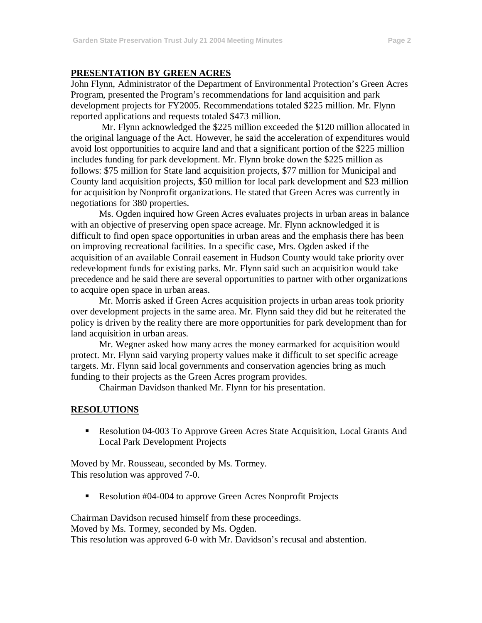### **PRESENTATION BY GREEN ACRES**

John Flynn, Administrator of the Department of Environmental Protection's Green Acres Program, presented the Program's recommendations for land acquisition and park development projects for FY2005. Recommendations totaled \$225 million. Mr. Flynn reported applications and requests totaled \$473 million.

Mr. Flynn acknowledged the \$225 million exceeded the \$120 million allocated in the original language of the Act. However, he said the acceleration of expenditures would avoid lost opportunities to acquire land and that a significant portion of the \$225 million includes funding for park development. Mr. Flynn broke down the \$225 million as follows: \$75 million for State land acquisition projects, \$77 million for Municipal and County land acquisition projects, \$50 million for local park development and \$23 million for acquisition by Nonprofit organizations. He stated that Green Acres was currently in negotiations for 380 properties.

Ms. Ogden inquired how Green Acres evaluates projects in urban areas in balance with an objective of preserving open space acreage. Mr. Flynn acknowledged it is difficult to find open space opportunities in urban areas and the emphasis there has been on improving recreational facilities. In a specific case, Mrs. Ogden asked if the acquisition of an available Conrail easement in Hudson County would take priority over redevelopment funds for existing parks. Mr. Flynn said such an acquisition would take precedence and he said there are several opportunities to partner with other organizations to acquire open space in urban areas.

Mr. Morris asked if Green Acres acquisition projects in urban areas took priority over development projects in the same area. Mr. Flynn said they did but he reiterated the policy is driven by the reality there are more opportunities for park development than for land acquisition in urban areas.

Mr. Wegner asked how many acres the money earmarked for acquisition would protect. Mr. Flynn said varying property values make it difficult to set specific acreage targets. Mr. Flynn said local governments and conservation agencies bring as much funding to their projects as the Green Acres program provides.

Chairman Davidson thanked Mr. Flynn for his presentation.

### **RESOLUTIONS**

 Resolution 04-003 To Approve Green Acres State Acquisition, Local Grants And Local Park Development Projects

Moved by Mr. Rousseau, seconded by Ms. Tormey. This resolution was approved 7-0.

Resolution #04-004 to approve Green Acres Nonprofit Projects

Chairman Davidson recused himself from these proceedings. Moved by Ms. Tormey, seconded by Ms. Ogden. This resolution was approved 6-0 with Mr. Davidson's recusal and abstention.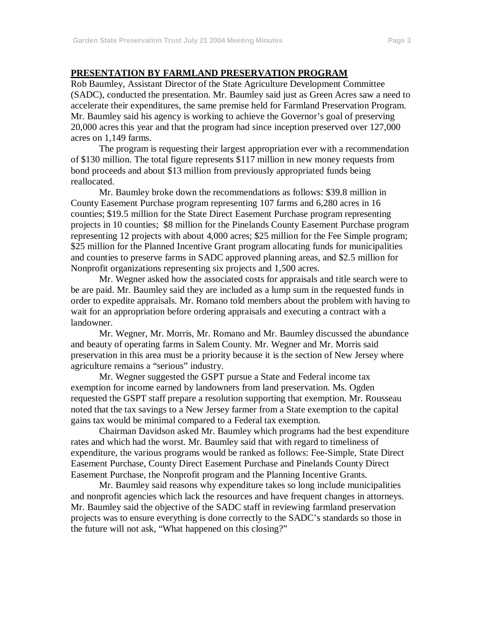#### **PRESENTATION BY FARMLAND PRESERVATION PROGRAM**

Rob Baumley, Assistant Director of the State Agriculture Development Committee (SADC), conducted the presentation. Mr. Baumley said just as Green Acres saw a need to accelerate their expenditures, the same premise held for Farmland Preservation Program. Mr. Baumley said his agency is working to achieve the Governor's goal of preserving 20,000 acres this year and that the program had since inception preserved over 127,000 acres on 1,149 farms.

The program is requesting their largest appropriation ever with a recommendation of \$130 million. The total figure represents \$117 million in new money requests from bond proceeds and about \$13 million from previously appropriated funds being reallocated.

Mr. Baumley broke down the recommendations as follows: \$39.8 million in County Easement Purchase program representing 107 farms and 6,280 acres in 16 counties; \$19.5 million for the State Direct Easement Purchase program representing projects in 10 counties; \$8 million for the Pinelands County Easement Purchase program representing 12 projects with about 4,000 acres; \$25 million for the Fee Simple program; \$25 million for the Planned Incentive Grant program allocating funds for municipalities and counties to preserve farms in SADC approved planning areas, and \$2.5 million for Nonprofit organizations representing six projects and 1,500 acres.

Mr. Wegner asked how the associated costs for appraisals and title search were to be are paid. Mr. Baumley said they are included as a lump sum in the requested funds in order to expedite appraisals. Mr. Romano told members about the problem with having to wait for an appropriation before ordering appraisals and executing a contract with a landowner.

Mr. Wegner, Mr. Morris, Mr. Romano and Mr. Baumley discussed the abundance and beauty of operating farms in Salem County. Mr. Wegner and Mr. Morris said preservation in this area must be a priority because it is the section of New Jersey where agriculture remains a "serious" industry.

Mr. Wegner suggested the GSPT pursue a State and Federal income tax exemption for income earned by landowners from land preservation. Ms. Ogden requested the GSPT staff prepare a resolution supporting that exemption. Mr. Rousseau noted that the tax savings to a New Jersey farmer from a State exemption to the capital gains tax would be minimal compared to a Federal tax exemption.

Chairman Davidson asked Mr. Baumley which programs had the best expenditure rates and which had the worst. Mr. Baumley said that with regard to timeliness of expenditure, the various programs would be ranked as follows: Fee-Simple, State Direct Easement Purchase, County Direct Easement Purchase and Pinelands County Direct Easement Purchase, the Nonprofit program and the Planning Incentive Grants.

Mr. Baumley said reasons why expenditure takes so long include municipalities and nonprofit agencies which lack the resources and have frequent changes in attorneys. Mr. Baumley said the objective of the SADC staff in reviewing farmland preservation projects was to ensure everything is done correctly to the SADC's standards so those in the future will not ask, "What happened on this closing?"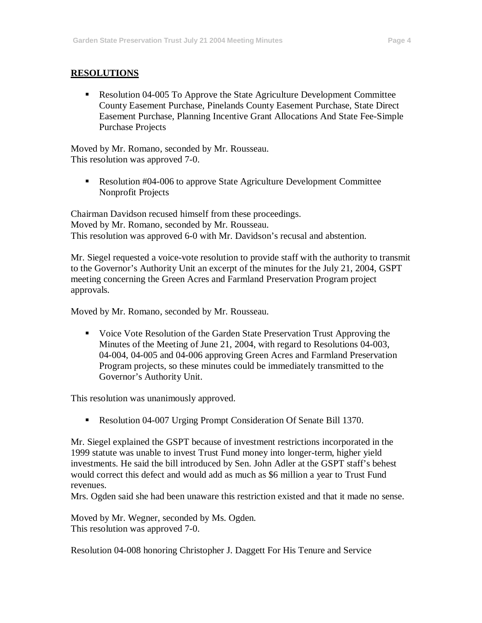## **RESOLUTIONS**

 Resolution 04-005 To Approve the State Agriculture Development Committee County Easement Purchase, Pinelands County Easement Purchase, State Direct Easement Purchase, Planning Incentive Grant Allocations And State Fee-Simple Purchase Projects

Moved by Mr. Romano, seconded by Mr. Rousseau. This resolution was approved 7-0.

Resolution #04-006 to approve State Agriculture Development Committee Nonprofit Projects

Chairman Davidson recused himself from these proceedings. Moved by Mr. Romano, seconded by Mr. Rousseau. This resolution was approved 6-0 with Mr. Davidson's recusal and abstention.

Mr. Siegel requested a voice-vote resolution to provide staff with the authority to transmit to the Governor's Authority Unit an excerpt of the minutes for the July 21, 2004, GSPT meeting concerning the Green Acres and Farmland Preservation Program project approvals.

Moved by Mr. Romano, seconded by Mr. Rousseau.

• Voice Vote Resolution of the Garden State Preservation Trust Approving the Minutes of the Meeting of June 21, 2004, with regard to Resolutions 04-003, 04-004, 04-005 and 04-006 approving Green Acres and Farmland Preservation Program projects, so these minutes could be immediately transmitted to the Governor's Authority Unit.

This resolution was unanimously approved.

Resolution 04-007 Urging Prompt Consideration Of Senate Bill 1370.

Mr. Siegel explained the GSPT because of investment restrictions incorporated in the 1999 statute was unable to invest Trust Fund money into longer-term, higher yield investments. He said the bill introduced by Sen. John Adler at the GSPT staff's behest would correct this defect and would add as much as \$6 million a year to Trust Fund revenues.

Mrs. Ogden said she had been unaware this restriction existed and that it made no sense.

Moved by Mr. Wegner, seconded by Ms. Ogden. This resolution was approved 7-0.

Resolution 04-008 honoring Christopher J. Daggett For His Tenure and Service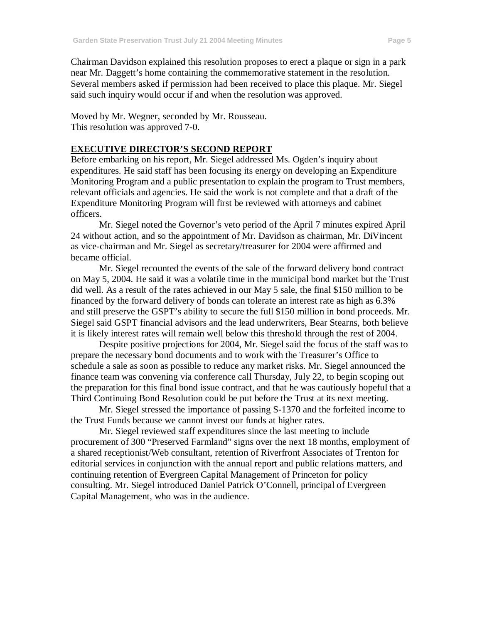Chairman Davidson explained this resolution proposes to erect a plaque or sign in a park near Mr. Daggett's home containing the commemorative statement in the resolution. Several members asked if permission had been received to place this plaque. Mr. Siegel said such inquiry would occur if and when the resolution was approved.

Moved by Mr. Wegner, seconded by Mr. Rousseau. This resolution was approved 7-0.

### **EXECUTIVE DIRECTOR'S SECOND REPORT**

Before embarking on his report, Mr. Siegel addressed Ms. Ogden's inquiry about expenditures. He said staff has been focusing its energy on developing an Expenditure Monitoring Program and a public presentation to explain the program to Trust members, relevant officials and agencies. He said the work is not complete and that a draft of the Expenditure Monitoring Program will first be reviewed with attorneys and cabinet officers.

Mr. Siegel noted the Governor's veto period of the April 7 minutes expired April 24 without action, and so the appointment of Mr. Davidson as chairman, Mr. DiVincent as vice-chairman and Mr. Siegel as secretary/treasurer for 2004 were affirmed and became official.

Mr. Siegel recounted the events of the sale of the forward delivery bond contract on May 5, 2004. He said it was a volatile time in the municipal bond market but the Trust did well. As a result of the rates achieved in our May 5 sale, the final \$150 million to be financed by the forward delivery of bonds can tolerate an interest rate as high as 6.3% and still preserve the GSPT's ability to secure the full \$150 million in bond proceeds. Mr. Siegel said GSPT financial advisors and the lead underwriters, Bear Stearns, both believe it is likely interest rates will remain well below this threshold through the rest of 2004.

Despite positive projections for 2004, Mr. Siegel said the focus of the staff was to prepare the necessary bond documents and to work with the Treasurer's Office to schedule a sale as soon as possible to reduce any market risks. Mr. Siegel announced the finance team was convening via conference call Thursday, July 22, to begin scoping out the preparation for this final bond issue contract, and that he was cautiously hopeful that a Third Continuing Bond Resolution could be put before the Trust at its next meeting.

Mr. Siegel stressed the importance of passing S-1370 and the forfeited income to the Trust Funds because we cannot invest our funds at higher rates.

Mr. Siegel reviewed staff expenditures since the last meeting to include procurement of 300 "Preserved Farmland" signs over the next 18 months, employment of a shared receptionist/Web consultant, retention of Riverfront Associates of Trenton for editorial services in conjunction with the annual report and public relations matters, and continuing retention of Evergreen Capital Management of Princeton for policy consulting. Mr. Siegel introduced Daniel Patrick O'Connell, principal of Evergreen Capital Management, who was in the audience.